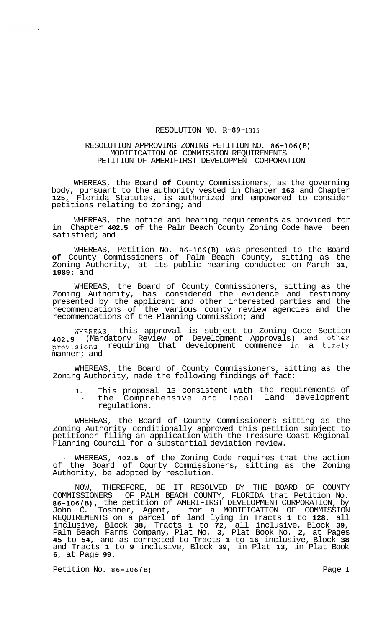## RESOLUTION NO. **R-89-1315**

## RESOLUTION APPROVING ZONING PETITION NO. **86-106(B)**  MODIFICATION **OF** COMMISSION REQUIREMENTS PETITION OF AMERIFIRST DEVELOPMENT CORPORATION

WHEREAS, the Board **of** County Commissioners, as the governing body, pursuant to the authority vested in Chapter **163** and Chapter **125,** Florida Statutes, is authorized and empowered to consider petitions relating to zoning; and

WHEREAS, the notice and hearing requirements as provided for in Chapter **402.5 of** the Palm Beach County Zoning Code have been satisfied; and

WHEREAS, Petition No. **86-106(B)** was presented to the Board **of** County Commissioners of Palm Beach County, sitting as the Zoning Authority, at its public hearing conducted on March **31, 1989;** and

WHEREAS, the Board of County Commissioners, sitting as the Zoning Authority, has considered the evidence and testimony presented by the applicant and other interested parties and the recommendations **of** the various county review agencies and the recommendations of the Planning Commission; and

WHEREAS, this approval is subject to Zoning Code Section **402.9** (Mandatory Review of Development Approvals) and other provisions requiring that development commence in a timely manner; and

WHEREAS, the Board of County Commissioners, sitting as the Zoning Authority, made the following findings **of** fact:

**1.** This proposal is consistent with the requirements of the Comprehensive and local land development regulations.

WHEREAS, the Board of County Commissioners sitting as the Zoning Authority conditionally approved this petition subject to petitioner filing an application with the Treasure Coast Regional Planning Council for a substantial deviation review.

WHEREAS, 402.5 of the Zoning Code requires that the action of the Board of County Commissioners, sitting as the Zoning Authority, be adopted by resolution.

NOW, THEREFORE, BE IT RESOLVED BY THE BOARD OF COUNTY COMMISSIONERS OF PALM BEACH COUNTY, FLORIDA that Petition No. **86-106(B),** the petition of AMERIFIRST DEVELOPMENT CORPORATION, by John C. Toshner, Agent, for a MODIFICATION OF COMMISSION REQUIREMENTS on a parcel **of** land lying in Tracts **1** to **128,** all inclusive, Block **38,** Tracts **1** to **72,** all inclusive, Block **39,**  Palm Beach Farms Company, Plat No. **3,** Plat Book No. **2,** at Pages **45** to **54,** and as corrected to Tracts **1** to **16** inclusive, Block **38**  and Tracts **1** to **9** inclusive, Block **39,** in Plat **13,** in Plat Book **6,** at Page **99.** 

Petition No. **86-106(B)** Page **1**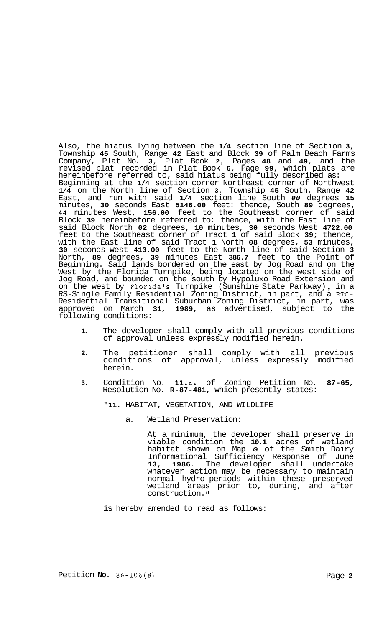Also, the hiatus lying between the **1/4** section line of Section **3,**  Township **45** South, Range **42** East and Block **39** of Palm Beach Farms Company, Plat No. **3,** Plat Book **2,** Pages **48** and **49,** and the revised plat recorded in Plat Book **6,** Page **99,** which plats are hereinbefore referred to, said hiatus being fully described as: Beginning at the **1/4** section corner Northeast corner of Northwest **1/4** on the North line of Section **3,** Township **45** South, Range **42**  East, and run with said **1/4** section line South *00* degrees **15**  minutes, **30** seconds East **5146.00** feet: thence, South **89** degrees, **44** minutes West, **156.00** feet to the Southeast corner of said Block **39** hereinbefore referred to: thence, with the East line of said Block North **02** degrees, **10** minutes, **30** seconds West **4722.00**  feet to the Southeast corner of Tract **1** of said Block **39;** thence, with the East line of said Tract **1** North **08** degrees, **53** minutes, **30** seconds West **413.00** feet to the North line of said Section **3**  North, **89** degrees, **39** minutes East **386.7** feet to the Point of Beginning. Said lands bordered on the east by Jog Road and on the West by the Florida Turnpike, being located on the west side of Jog Road, and bounded on the south by Hypoluxo Road Extension and on the west by Floridals Turnpike (Sunshine State Parkway) , in a RS-Single Family Residential Zoning District, in part, and a RTS-Residential Transitional Suburban Zoning District, in part, was approved on March **31, 1989,** as advertised, subject to the following conditions:

- **1.** The developer shall comply with all previous conditions of approval unless expressly modified herein.
- **2.** The petitioner shall comply with all previous conditions of approval, unless expressly modified herein.
- **3.** Condition No. **1l.a.** of Zoning Petition No. **87-65,**  Resolution No. **R-87-481,** which presently states:

**"11.** HABITAT, VEGETATION, AND WILDLIFE

a. Wetland Preservation:

> At a minimum, the developer shall preserve in viable condition the **10.1** acres **of** wetland habitat shown on Map *G* of the Smith Dairy Informational Sufficiency Response of June<br>13, 1986, The developer shall undertake 1986. The developer shall undertake whatever action may be necessary to maintain normal hydro-periods within these preserved wetland areas prior to, during, and after construction. **II**

is hereby amended to read as follows: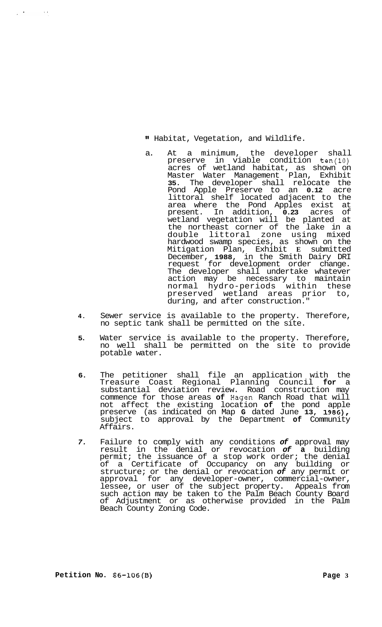## **It** Habitat, Vegetation, and Wildlife.

- a. At a minimum, the developer shall preserve in viable condition ten(l0) acres of wetland habitat, as shown on Master Water Management Plan, Exhibit **35.** The developer shall relocate the Pond Apple Preserve to an **0.12** acre littoral shelf located adjacent to the area where the Pond Apples exist at present. In addition, **0.23** acres of wetland vegetation will be planted at the northeast corner of the lake in a double littoral zone using mixed hardwood swamp species, as shown on the Mitigation Plan, Exhibit **E** submitted December, **1988,** in the Smith Dairy DRI request for development order change. The developer shall undertake whatever action may be necessary to maintain normal hydro-periods within these preserved wetland areas prior to, during, and after construction."
- **4.** Sewer service is available to the property. Therefore, no septic tank shall be permitted on the site.
- **5.** Water service is available to the property. Therefore, no well shall be permitted on the site to provide potable water.
- **6.** The petitioner shall file an application with the Treasure Coast Regional Planning Council **for** a substantial deviation review. Road construction may commence for those areas **of** Hagen Ranch Road that will not affect the existing location **of** the pond apple preserve (as indicated on Map **G** dated June **13, 1986),**  subject to approval by the Department **of** Community Affairs.
- *7.* Failure to comply with any conditions *of* approval may result in the denial or revocation *of* **a** building permit; the issuance of a stop work order; the denial of a Certificate of Occupancy on any building or structure; or the denial or revocation *of* any permit or approval for any developer-owner, commercial-owner, lessee, or user of the subject property. Appeals from such action may be taken to the Palm Beach County Board of Adjustment or as otherwise provided in the Palm Beach County Zoning Code.

 $\mathcal{L}^{\mathcal{L}}(\mathcal{T})$  , and  $\mathcal{L}^{\mathcal{L}}(\mathcal{T})$